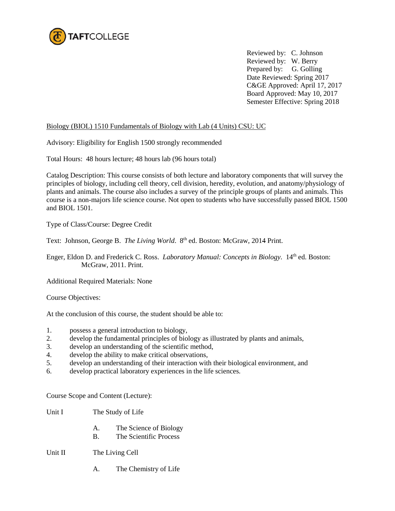

Reviewed by: C. Johnson Reviewed by: W. Berry Prepared by: G. Golling Date Reviewed: Spring 2017 C&GE Approved: April 17, 2017 Board Approved: May 10, 2017 Semester Effective: Spring 2018

### Biology (BIOL) 1510 Fundamentals of Biology with Lab (4 Units) CSU: UC

Advisory: Eligibility for English 1500 strongly recommended

Total Hours: 48 hours lecture; 48 hours lab (96 hours total)

Catalog Description: This course consists of both lecture and laboratory components that will survey the principles of biology, including cell theory, cell division, heredity, evolution, and anatomy/physiology of plants and animals. The course also includes a survey of the principle groups of plants and animals. This course is a non-majors life science course. Not open to students who have successfully passed BIOL 1500 and BIOL 1501.

Type of Class/Course: Degree Credit

Text: Johnson, George B. *The Living World*. 8<sup>th</sup> ed. Boston: McGraw, 2014 Print.

Enger, Eldon D. and Frederick C. Ross. *Laboratory Manual: Concepts in Biology*. 14th ed. Boston: McGraw, 2011. Print.

Additional Required Materials: None

Course Objectives:

At the conclusion of this course, the student should be able to:

- 1. possess a general introduction to biology,
- 2. develop the fundamental principles of biology as illustrated by plants and animals,
- 3. develop an understanding of the scientific method,
- 4. develop the ability to make critical observations,
- 5. develop an understanding of their interaction with their biological environment, and
- 6. develop practical laboratory experiences in the life sciences.

Course Scope and Content (Lecture):

- Unit I The Study of Life
	- A. The Science of Biology
	- B. The Scientific Process

Unit II The Living Cell

A. The Chemistry of Life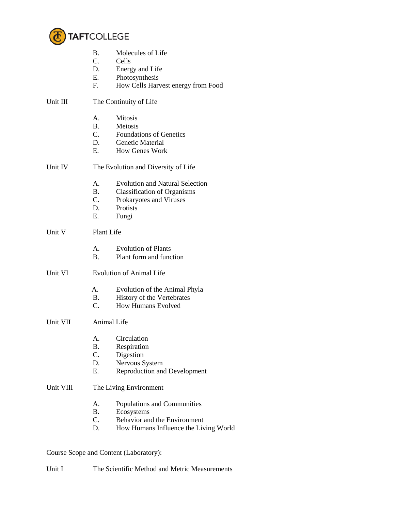

- B. Molecules of Life<br>C. Cells
- Cells
- D. Energy and Life
- E. Photosynthesis
- F. How Cells Harvest energy from Food

## Unit III The Continuity of Life

- A. Mitosis
- B. Meiosis
- C. Foundations of Genetics
- D. Genetic Material<br>E. How Genes Work
- How Genes Work
- Unit IV The Evolution and Diversity of Life
	- A. Evolution and Natural Selection
	- B. Classification of Organisms
	- C. Prokaryotes and Viruses
	- D. Protists
	- E. Fungi

# Unit V Plant Life

- A. Evolution of Plants
- B. Plant form and function
- Unit VI Evolution of Animal Life
	- A. Evolution of the Animal Phyla
	- B. History of the Vertebrates<br>C. How Humans Evolved
	- How Humans Evolved
- Unit VII Animal Life
	- A. Circulation
	- B. Respiration
	- C. Digestion
	- D. Nervous System
	- E. Reproduction and Development

# Unit VIII The Living Environment

- A. Populations and Communities
- B. Ecosystems
- C. Behavior and the Environment
- D. How Humans Influence the Living World

## Course Scope and Content (Laboratory):

Unit I The Scientific Method and Metric Measurements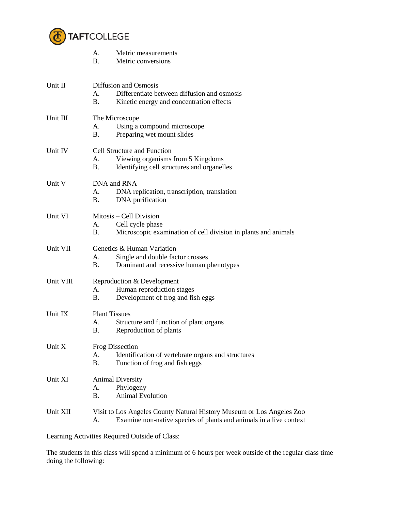

|           | Metric measurements<br>А.<br>$\mathbf{B}$ .<br>Metric conversions                                                                                 |
|-----------|---------------------------------------------------------------------------------------------------------------------------------------------------|
| Unit II   | Diffusion and Osmosis<br>Differentiate between diffusion and osmosis<br>A.<br><b>B.</b><br>Kinetic energy and concentration effects               |
| Unit III  | The Microscope<br>Using a compound microscope<br>А.<br><b>B.</b><br>Preparing wet mount slides                                                    |
| Unit IV   | <b>Cell Structure and Function</b><br>Viewing organisms from 5 Kingdoms<br>А.<br>Β.<br>Identifying cell structures and organelles                 |
| Unit V    | DNA and RNA<br>A.<br>DNA replication, transcription, translation<br>Β.<br>DNA purification                                                        |
| Unit VI   | Mitosis – Cell Division<br>А.<br>Cell cycle phase<br><b>B.</b><br>Microscopic examination of cell division in plants and animals                  |
| Unit VII  | Genetics & Human Variation<br>Single and double factor crosses<br>A.<br><b>B.</b><br>Dominant and recessive human phenotypes                      |
| Unit VIII | Reproduction & Development<br>Human reproduction stages<br>А.<br>Development of frog and fish eggs<br><b>B.</b>                                   |
| Unit IX   | <b>Plant Tissues</b><br>А.<br>Structure and function of plant organs<br>Β.<br>Reproduction of plants                                              |
| Unit X    | <b>Frog Dissection</b><br>Identification of vertebrate organs and structures<br>А.<br><b>B.</b><br>Function of frog and fish eggs                 |
| Unit XI   | <b>Animal Diversity</b><br>Phylogeny<br>А.<br><b>Animal Evolution</b><br><b>B.</b>                                                                |
| Unit XII  | Visit to Los Angeles County Natural History Museum or Los Angeles Zoo<br>Examine non-native species of plants and animals in a live context<br>A. |

Learning Activities Required Outside of Class:

The students in this class will spend a minimum of 6 hours per week outside of the regular class time doing the following: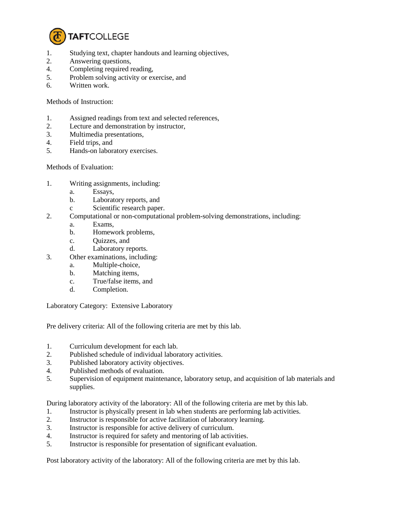

- 1. Studying text, chapter handouts and learning objectives,
- 2. Answering questions,
- 4. Completing required reading,
- 5. Problem solving activity or exercise, and
- 6. Written work.

#### Methods of Instruction:

- 1. Assigned readings from text and selected references,
- 2. Lecture and demonstration by instructor,
- 3. Multimedia presentations,
- 4. Field trips, and
- 5. Hands-on laboratory exercises.

### Methods of Evaluation:

- 1. Writing assignments, including:
	- a. Essays,
	- b. Laboratory reports, and
	- c Scientific research paper.
- 2. Computational or non-computational problem-solving demonstrations, including:
	- a. Exams,
	- b. Homework problems,
	- c. Quizzes, and
	- d. Laboratory reports.
- 3. Other examinations, including:
	- a. Multiple-choice,
	- b. Matching items,
	- c. True/false items, and
	- d. Completion.

Laboratory Category: Extensive Laboratory

Pre delivery criteria: All of the following criteria are met by this lab.

- 1. Curriculum development for each lab.
- 2. Published schedule of individual laboratory activities.
- 3. Published laboratory activity objectives.
- 4. Published methods of evaluation.
- 5. Supervision of equipment maintenance, laboratory setup, and acquisition of lab materials and supplies.

During laboratory activity of the laboratory: All of the following criteria are met by this lab.

- 1. Instructor is physically present in lab when students are performing lab activities.
- 2. Instructor is responsible for active facilitation of laboratory learning.
- 3. Instructor is responsible for active delivery of curriculum.
- 4. Instructor is required for safety and mentoring of lab activities.
- 5. Instructor is responsible for presentation of significant evaluation.

Post laboratory activity of the laboratory: All of the following criteria are met by this lab.